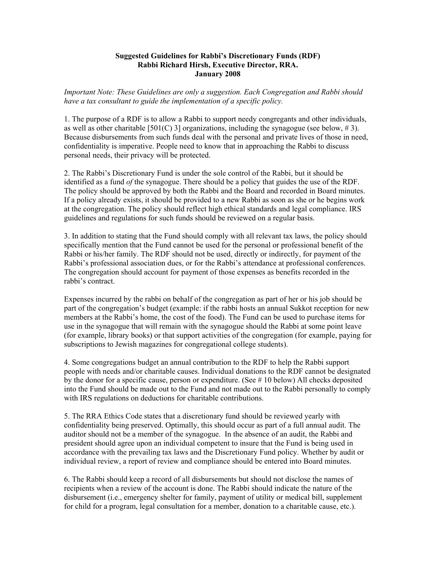## **Suggested Guidelines for Rabbi's Discretionary Funds (RDF) Rabbi Richard Hirsh, Executive Director, RRA. January 2008**

*Important Note: These Guidelines are only a suggestion. Each Congregation and Rabbi should have a tax consultant to guide the implementation of a specific policy.* 

1. The purpose of a RDF is to allow a Rabbi to support needy congregants and other individuals, as well as other charitable [501(C) 3] organizations, including the synagogue (see below, #3). Because disbursements from such funds deal with the personal and private lives of those in need, confidentiality is imperative. People need to know that in approaching the Rabbi to discuss personal needs, their privacy will be protected.

2. The Rabbi's Discretionary Fund is under the sole control of the Rabbi, but it should be identified as a fund *of* the synagogue. There should be a policy that guides the use of the RDF. The policy should be approved by both the Rabbi and the Board and recorded in Board minutes. If a policy already exists, it should be provided to a new Rabbi as soon as she or he begins work at the congregation. The policy should reflect high ethical standards and legal compliance. IRS guidelines and regulations for such funds should be reviewed on a regular basis.

3. In addition to stating that the Fund should comply with all relevant tax laws, the policy should specifically mention that the Fund cannot be used for the personal or professional benefit of the Rabbi or his/her family. The RDF should not be used, directly or indirectly, for payment of the Rabbi's professional association dues, or for the Rabbi's attendance at professional conferences. The congregation should account for payment of those expenses as benefits recorded in the rabbi's contract.

Expenses incurred by the rabbi on behalf of the congregation as part of her or his job should be part of the congregation's budget (example: if the rabbi hosts an annual Sukkot reception for new members at the Rabbi's home, the cost of the food). The Fund can be used to purchase items for use in the synagogue that will remain with the synagogue should the Rabbi at some point leave (for example, library books) or that support activities of the congregation (for example, paying for subscriptions to Jewish magazines for congregational college students).

4. Some congregations budget an annual contribution to the RDF to help the Rabbi support people with needs and/or charitable causes. Individual donations to the RDF cannot be designated by the donor for a specific cause, person or expenditure. (See # 10 below) All checks deposited into the Fund should be made out to the Fund and not made out to the Rabbi personally to comply with IRS regulations on deductions for charitable contributions.

5. The RRA Ethics Code states that a discretionary fund should be reviewed yearly with confidentiality being preserved. Optimally, this should occur as part of a full annual audit. The auditor should not be a member of the synagogue. In the absence of an audit, the Rabbi and president should agree upon an individual competent to insure that the Fund is being used in accordance with the prevailing tax laws and the Discretionary Fund policy. Whether by audit or individual review, a report of review and compliance should be entered into Board minutes.

6. The Rabbi should keep a record of all disbursements but should not disclose the names of recipients when a review of the account is done. The Rabbi should indicate the nature of the disbursement (i.e., emergency shelter for family, payment of utility or medical bill, supplement for child for a program, legal consultation for a member, donation to a charitable cause, etc.).